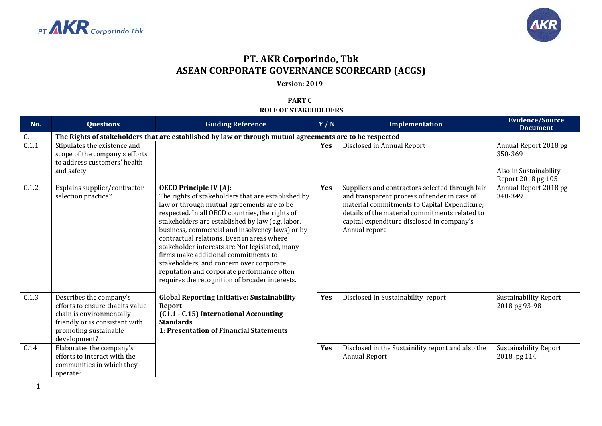



## **PT. AKR Corporindo, Tbk ASEAN CORPORATE GOVERNANCE SCORECARD (ACGS)**

**Version: 2019**

**PART C ROLE OF STAKEHOLDERS**

| No.   | <b>Questions</b>                                                                                                                                                   | <b>Guiding Reference</b>                                                                                                                                                                                                                                                                                                                                                                                                                                                                                                                                                        | Y/N        | Implementation                                                                                                                                                                                                                                                   | <b>Evidence/Source</b><br><b>Document</b>                                        |
|-------|--------------------------------------------------------------------------------------------------------------------------------------------------------------------|---------------------------------------------------------------------------------------------------------------------------------------------------------------------------------------------------------------------------------------------------------------------------------------------------------------------------------------------------------------------------------------------------------------------------------------------------------------------------------------------------------------------------------------------------------------------------------|------------|------------------------------------------------------------------------------------------------------------------------------------------------------------------------------------------------------------------------------------------------------------------|----------------------------------------------------------------------------------|
| C.1   |                                                                                                                                                                    | The Rights of stakeholders that are established by law or through mutual agreements are to be respected                                                                                                                                                                                                                                                                                                                                                                                                                                                                         |            |                                                                                                                                                                                                                                                                  |                                                                                  |
| C.1.1 | Stipulates the existence and<br>scope of the company's efforts<br>to address customers' health<br>and safety                                                       |                                                                                                                                                                                                                                                                                                                                                                                                                                                                                                                                                                                 | <b>Yes</b> | Disclosed in Annual Report                                                                                                                                                                                                                                       | Annual Report 2018 pg<br>350-369<br>Also in Sustainability<br>Report 2018 pg 105 |
| C.1.2 | Explains supplier/contractor<br>selection practice?                                                                                                                | <b>OECD Principle IV (A):</b><br>The rights of stakeholders that are established by<br>law or through mutual agreements are to be<br>respected. In all OECD countries, the rights of<br>stakeholders are established by law (e.g. labor,<br>business, commercial and insolvency laws) or by<br>contractual relations. Even in areas where<br>stakeholder interests are Not legislated, many<br>firms make additional commitments to<br>stakeholders, and concern over corporate<br>reputation and corporate performance often<br>requires the recognition of broader interests. | Yes        | Suppliers and contractors selected through fair<br>and transparent process of tender in case of<br>material commitments to Capital Expenditure;<br>details of the material commitments related to<br>capital expenditure disclosed in company's<br>Annual report | Annual Report 2018 pg<br>348-349                                                 |
| C.1.3 | Describes the company's<br>efforts to ensure that its value<br>chain is environmentally<br>friendly or is consistent with<br>promoting sustainable<br>development? | <b>Global Reporting Initiative: Sustainability</b><br>Report<br>(C1.1 - C.15) International Accounting<br><b>Standards</b><br>1: Presentation of Financial Statements                                                                                                                                                                                                                                                                                                                                                                                                           | Yes        | Disclosed In Sustainability report                                                                                                                                                                                                                               | Sustainability Report<br>2018 pg 93-98                                           |
| C.14  | Elaborates the company's<br>efforts to interact with the<br>communities in which they<br>operate?                                                                  |                                                                                                                                                                                                                                                                                                                                                                                                                                                                                                                                                                                 | Yes        | Disclosed in the Sustainility report and also the<br><b>Annual Report</b>                                                                                                                                                                                        | <b>Sustainability Report</b><br>2018 pg 114                                      |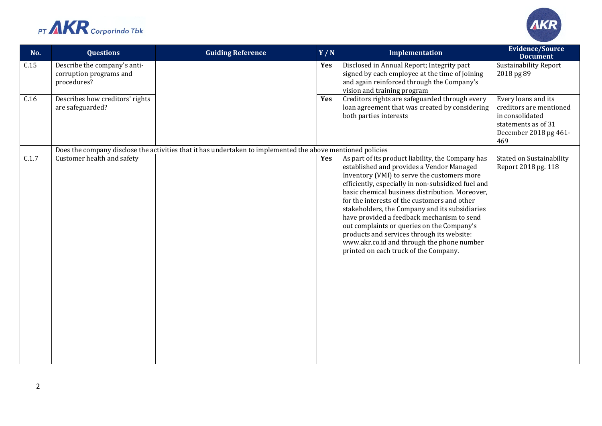



| No.   | <b>Questions</b>                                                       | <b>Guiding Reference</b> | Y/N                                                                                                                                                                     | Implementation                                                                                                                                                                                                                                                                                                                                                                                                                                                                                                                       | <b>Evidence/Source</b><br><b>Document</b>                                                                                |  |  |  |
|-------|------------------------------------------------------------------------|--------------------------|-------------------------------------------------------------------------------------------------------------------------------------------------------------------------|--------------------------------------------------------------------------------------------------------------------------------------------------------------------------------------------------------------------------------------------------------------------------------------------------------------------------------------------------------------------------------------------------------------------------------------------------------------------------------------------------------------------------------------|--------------------------------------------------------------------------------------------------------------------------|--|--|--|
| C.15  | Describe the company's anti-<br>corruption programs and<br>procedures? |                          | Yes                                                                                                                                                                     | Disclosed in Annual Report; Integrity pact<br>signed by each employee at the time of joining<br>and again reinforced through the Company's<br>vision and training program                                                                                                                                                                                                                                                                                                                                                            | <b>Sustainability Report</b><br>2018 pg 89                                                                               |  |  |  |
| C.16  | Describes how creditors' rights<br>are safeguarded?                    |                          | Yes                                                                                                                                                                     | Creditors rights are safeguarded through every<br>loan agreement that was created by considering<br>both parties interests                                                                                                                                                                                                                                                                                                                                                                                                           | Every loans and its<br>creditors are mentioned<br>in consolidated<br>statements as of 31<br>December 2018 pg 461-<br>469 |  |  |  |
|       |                                                                        |                          | Does the company disclose the activities that it has undertaken to implemented the above mentioned policies<br>As part of its product liability, the Company has<br>Yes |                                                                                                                                                                                                                                                                                                                                                                                                                                                                                                                                      |                                                                                                                          |  |  |  |
| C.1.7 | Customer health and safety                                             |                          |                                                                                                                                                                         | established and provides a Vendor Managed<br>Inventory (VMI) to serve the customers more<br>efficiently, especially in non-subsidized fuel and<br>basic chemical business distribution. Moreover,<br>for the interests of the customers and other<br>stakeholders, the Company and its subsidiaries<br>have provided a feedback mechanism to send<br>out complaints or queries on the Company's<br>products and services through its website:<br>www.akr.co.id and through the phone number<br>printed on each truck of the Company. | Stated on Sustainability<br>Report 2018 pg. 118                                                                          |  |  |  |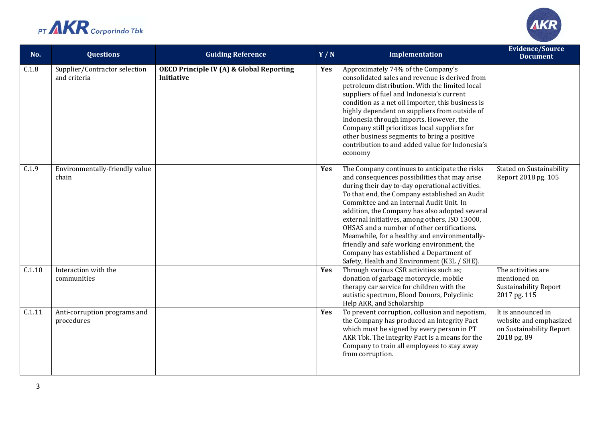



| No.    | <b>Questions</b>                              | <b>Guiding Reference</b>                                                 | Y/N | Implementation                                                                                                                                                                                                                                                                                                                                                                                                                                                                                                                                                                             | <b>Evidence/Source</b><br><b>Document</b>                                               |
|--------|-----------------------------------------------|--------------------------------------------------------------------------|-----|--------------------------------------------------------------------------------------------------------------------------------------------------------------------------------------------------------------------------------------------------------------------------------------------------------------------------------------------------------------------------------------------------------------------------------------------------------------------------------------------------------------------------------------------------------------------------------------------|-----------------------------------------------------------------------------------------|
| C.1.8  | Supplier/Contractor selection<br>and criteria | <b>OECD Principle IV (A) &amp; Global Reporting</b><br><b>Initiative</b> | Yes | Approximately 74% of the Company's<br>consolidated sales and revenue is derived from<br>petroleum distribution. With the limited local<br>suppliers of fuel and Indonesia's current<br>condition as a net oil importer, this business is<br>highly dependent on suppliers from outside of<br>Indonesia through imports. However, the<br>Company still prioritizes local suppliers for<br>other business segments to bring a positive<br>contribution to and added value for Indonesia's<br>economy                                                                                         |                                                                                         |
| C.1.9  | Environmentally-friendly value<br>chain       |                                                                          | Yes | The Company continues to anticipate the risks<br>and consequences possibilities that may arise<br>during their day to-day operational activities.<br>To that end, the Company established an Audit<br>Committee and an Internal Audit Unit. In<br>addition, the Company has also adopted several<br>external initiatives, among others, ISO 13000,<br>OHSAS and a number of other certifications.<br>Meanwhile, for a healthy and environmentally-<br>friendly and safe working environment, the<br>Company has established a Department of<br>Safety, Health and Environment (K3L / SHE). | Stated on Sustainability<br>Report 2018 pg. 105                                         |
| C.1.10 | Interaction with the<br>communities           |                                                                          | Yes | Through various CSR activities such as;<br>donation of garbage motorcycle, mobile<br>therapy car service for children with the<br>autistic spectrum, Blood Donors, Polyclinic<br>Help AKR, and Scholarship                                                                                                                                                                                                                                                                                                                                                                                 | The activities are<br>mentioned on<br><b>Sustainability Report</b><br>2017 pg. 115      |
| C.1.11 | Anti-corruption programs and<br>procedures    |                                                                          | Yes | To prevent corruption, collusion and nepotism,<br>the Company has produced an Integrity Pact<br>which must be signed by every person in PT<br>AKR Tbk. The Integrity Pact is a means for the<br>Company to train all employees to stay away<br>from corruption.                                                                                                                                                                                                                                                                                                                            | It is announced in<br>website and emphasized<br>on Sustainability Report<br>2018 pg. 89 |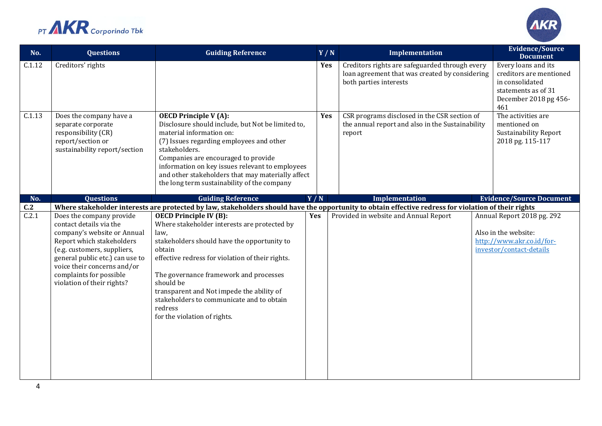



| No.          | <b>Questions</b>                                                                                                                                                                                                                                                          | <b>Guiding Reference</b>                                                                                                                                                                                                                                                                                                                                                                       | Y/N | Implementation                                                                                                                                                                                | <b>Evidence/Source</b><br><b>Document</b>                                                                                |
|--------------|---------------------------------------------------------------------------------------------------------------------------------------------------------------------------------------------------------------------------------------------------------------------------|------------------------------------------------------------------------------------------------------------------------------------------------------------------------------------------------------------------------------------------------------------------------------------------------------------------------------------------------------------------------------------------------|-----|-----------------------------------------------------------------------------------------------------------------------------------------------------------------------------------------------|--------------------------------------------------------------------------------------------------------------------------|
| C.1.12       | Creditors' rights                                                                                                                                                                                                                                                         |                                                                                                                                                                                                                                                                                                                                                                                                | Yes | Creditors rights are safeguarded through every<br>loan agreement that was created by considering<br>both parties interests                                                                    | Every loans and its<br>creditors are mentioned<br>in consolidated<br>statements as of 31<br>December 2018 pg 456-<br>461 |
| C.1.13       | Does the company have a<br>separate corporate<br>responsibility (CR)<br>report/section or<br>sustainability report/section                                                                                                                                                | <b>OECD Principle V (A):</b><br>Disclosure should include, but Not be limited to,<br>material information on:<br>(7) Issues regarding employees and other<br>stakeholders.<br>Companies are encouraged to provide<br>information on key issues relevant to employees<br>and other stakeholders that may materially affect<br>the long term sustainability of the company                       | Yes | CSR programs disclosed in the CSR section of<br>the annual report and also in the Sustainability<br>report                                                                                    | The activities are<br>mentioned on<br><b>Sustainability Report</b><br>2018 pg. 115-117                                   |
| No.          | <b>Questions</b>                                                                                                                                                                                                                                                          | <b>Guiding Reference</b>                                                                                                                                                                                                                                                                                                                                                                       | Y/N | <b>Implementation</b>                                                                                                                                                                         | <b>Evidence/Source Document</b>                                                                                          |
| C.2<br>C.2.1 | Does the company provide<br>contact details via the<br>company's website or Annual<br>Report which stakeholders<br>(e.g. customers, suppliers,<br>general public etc.) can use to<br>voice their concerns and/or<br>complaints for possible<br>violation of their rights? | <b>OECD Principle IV (B):</b><br>Where stakeholder interests are protected by<br>law,<br>stakeholders should have the opportunity to<br>obtain<br>effective redress for violation of their rights.<br>The governance framework and processes<br>should be<br>transparent and Not impede the ability of<br>stakeholders to communicate and to obtain<br>redress<br>for the violation of rights. | Yes | Where stakeholder interests are protected by law, stakeholders should have the opportunity to obtain effective redress for violation of their rights<br>Provided in website and Annual Report | Annual Report 2018 pg. 292<br>Also in the website:<br>http://www.akr.co.id/for-<br>investor/contact-details              |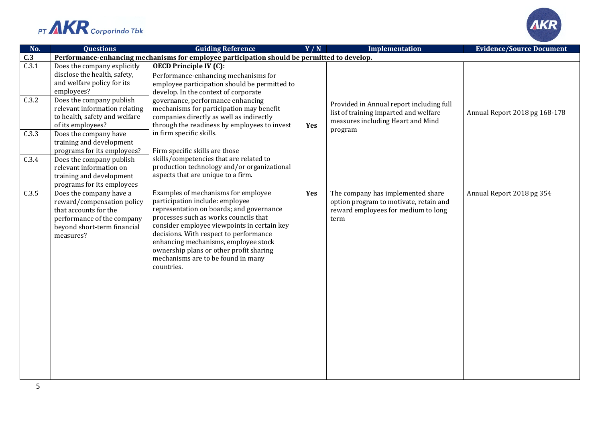



| No.            | <b>Questions</b>                                                                                                                                                                                      | <b>Guiding Reference</b>                                                                                                                                                                                                                                                                                                                                                                    | Y/N | Implementation                                                                                                             | <b>Evidence/Source Document</b> |  |
|----------------|-------------------------------------------------------------------------------------------------------------------------------------------------------------------------------------------------------|---------------------------------------------------------------------------------------------------------------------------------------------------------------------------------------------------------------------------------------------------------------------------------------------------------------------------------------------------------------------------------------------|-----|----------------------------------------------------------------------------------------------------------------------------|---------------------------------|--|
| C.3            | Performance-enhancing mechanisms for employee participation should be permitted to develop.                                                                                                           |                                                                                                                                                                                                                                                                                                                                                                                             |     |                                                                                                                            |                                 |  |
| C.3.1<br>C.3.2 | Does the company explicitly<br>disclose the health, safety,<br>and welfare policy for its<br>employees?<br>Does the company publish<br>relevant information relating<br>to health, safety and welfare | <b>OECD Principle IV (C):</b><br>Performance-enhancing mechanisms for<br>employee participation should be permitted to<br>develop. In the context of corporate<br>governance, performance enhancing<br>mechanisms for participation may benefit<br>companies directly as well as indirectly                                                                                                 |     | Provided in Annual report including full<br>list of training imparted and welfare                                          | Annual Report 2018 pg 168-178   |  |
| C.3.3          | of its employees?<br>Does the company have<br>training and development                                                                                                                                | through the readiness by employees to invest<br>in firm specific skills.                                                                                                                                                                                                                                                                                                                    | Yes | measures including Heart and Mind<br>program                                                                               |                                 |  |
| C.3.4          | programs for its employees?<br>Does the company publish<br>relevant information on<br>training and development<br>programs for its employees                                                          | Firm specific skills are those<br>skills/competencies that are related to<br>production technology and/or organizational<br>aspects that are unique to a firm.                                                                                                                                                                                                                              |     |                                                                                                                            |                                 |  |
| C.3.5          | Does the company have a<br>reward/compensation policy<br>that accounts for the<br>performance of the company<br>beyond short-term financial<br>measures?                                              | Examples of mechanisms for employee<br>participation include: employee<br>representation on boards; and governance<br>processes such as works councils that<br>consider employee viewpoints in certain key<br>decisions. With respect to performance<br>enhancing mechanisms, employee stock<br>ownership plans or other profit sharing<br>mechanisms are to be found in many<br>countries. | Yes | The company has implemented share<br>option program to motivate, retain and<br>reward employees for medium to long<br>term | Annual Report 2018 pg 354       |  |